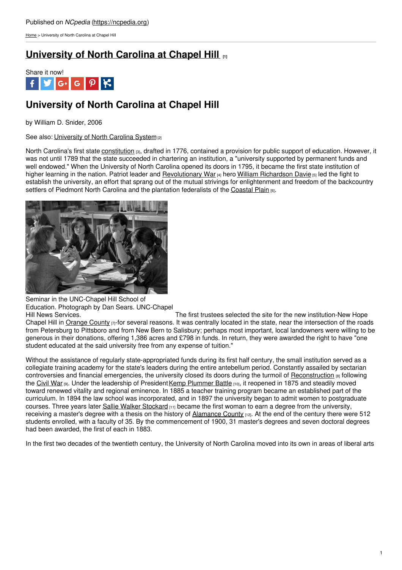[Home](https://ncpedia.org/) > University of North Carolina at Chapel Hill

## **[University](https://ncpedia.org/university-north-carolina-chapel-hi) of North Carolina at Chapel Hill [1]**



# **University of North Carolina at Chapel Hill**

by William D. Snider, 2006

See also: [University](https://ncpedia.org/university-north-carolina-system-0) of North Carolina System<sub>[2]</sub>

North Carolina's first state [constitution](https://ncpedia.org/government/nc-constitution-history) [3], drafted in 1776, contained a provision for public support of education. However, it was not until 1789 that the state succeeded in chartering an institution, a "university supported by permanent funds and well endowed." When the University of North Carolina opened its doors in 1795, it became the first state institution of higher learning in the nation. Patriot leader and [Revolutionary](https://ncpedia.org/american-revolution) War [4] hero William [Richardson](https://ncpedia.org/davie-william-richardson) Davie [5] led the fight to establish the university, an effort that [sprang](http://www.social9.com) out of the mutual strivings for enlightenment and freedom of the backcountry settlers of Piedmont North Carolina and the plantation federalists of the [Coastal](https://ncpedia.org/geography/region/coastal-plain) Plain [6].



Seminar in the UNC-Chapel Hill School of Education. Photograph by Dan Sears. UNC-Chapel

Hill News Services. The first trustees selected the site for the new institution-New Hope Chapel Hill in [Orange](https://ncpedia.org/geography/orange) County  $_{[7]}$ -for several reasons. It was centrally located in the state, near the intersection of the roads from Petersburg to Pittsboro and from New Bern to Salisbury; perhaps most important, local landowners were willing to be generous in their donations, offering 1,386 acres and £798 in funds. In return, they were awarded the right to have "one student educated at the said university free from any expense of tuition."

Without the assistance of regularly state-appropriated funds during its first half century, the small institution served as a collegiate training academy for the state's leaders during the entire antebellum period. Constantly assailed by sectarian controversies and financial emergencies, the university closed its doors during the turmoil of [Reconstruction](https://ncpedia.org/reconstruction) [8] following the [Civil](https://ncpedia.org/history/cw-1900/civil-war) War [9]. Under the leadership of President Kemp [Plummer](https://ncpedia.org/biography/battle-kemp-plummer) Battle [10], it reopened in 1875 and steadily moved toward renewed vitality and regional eminence. In 1885 a teacher training program became an established part of the curriculum. In 1894 the law school was incorporated, and in 1897 the university began to admit women to postgraduate courses. Three years later Sallie Walker [Stockard](https://ncpedia.org/biography/stockard-sallie) [11] became the first woman to earn a degree from the university, receiving a master's degree with a thesis on the history of [Alamance](https://ncpedia.org/geography/alamance) County [12]. At the end of the century there were 512 students enrolled, with a faculty of 35. By the commencement of 1900, 31 master's degrees and seven doctoral degrees had been awarded, the first of each in 1883.

In the first two decades of the twentieth century, the University of North Carolina moved into its own in areas of liberal arts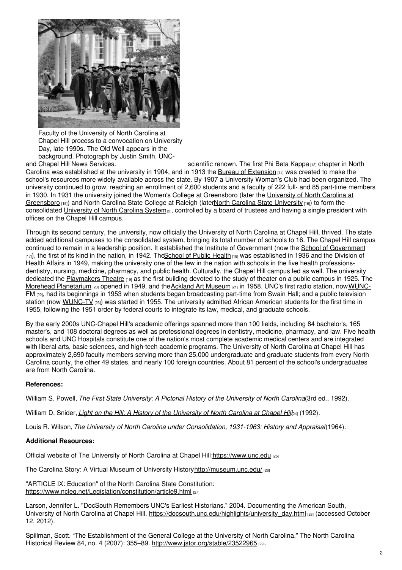

Faculty of the University of North Carolina at Chapel Hill process to a convocation on University Day, late 1990s. The Old Well appears in the background. Photograph by Justin Smith. UNC-

and Chapel Hill News Services. scientific renown. The first Phi Beta [Kappa](http://www.pbk.org/) [13] chapter in North Carolina was established at the university in 1904, and in 1913 the Bureau of [Extension](https://ncpedia.org/extension-service)  $[14]$  was created to make the school's resources more widely available across the state. By 1907 a University Woman's Club had been organized. The university continued to grow, reaching an enrollment of 2,600 students and a faculty of 222 full- and 85 part-time members in 1930. In 1931 the university joined the Women's College at [Greensboro](https://ncpedia.org/university-north-carolina-greensbor) (later the University of North Carolina at Greensboro [15]) and North Carolina State College at Raleigh (laterNorth Carolina State [University](https://ncpedia.org/north-carolina-state-university) [16]) to form the consolidated [University](https://ncpedia.org/university-north-carolina-system-0) of North Carolina System<sub>[2]</sub>, controlled by a board of trustees and having a single president with offices on the Chapel Hill campus.

Through its second century, the university, now officially the University of North Carolina at Chapel Hill, thrived. The state added additional campuses to the consolidated system, bringing its total number of schools to 16. The Chapel Hill campus continued to remain in a leadership position. It established the Institute of [Government](http://www.sog.unc.edu/) (now the School of Government  $[17]$ , the first of its kind in the nation, in 1942. The School of Public Health  $[18]$  was established in 1936 and the Division of Health Affairs in 1949, making the university one of the few in the nation with schools in the five health professionsdentistry, nursing, medicine, pharmacy, and public health. Culturally, the Chapel Hill campus led as well. The university dedicated the [Playmakers](http://www.playmakersrep.org/) Theatre [19] as the first building devoted to the study of theater on a public campus in 1925. The Morehead [Planetarium](http://www.moreheadplanetarium.org/) [20] opened in 1949, and the Ackland Art [Museum](http://www.ackland.org) [21] in 1958. UNC's first radio station, now WUNC-FM [22], had its beginnings in 1953 when students began [broadcasting](http://wunc.org/front-page) part-time from Swain Hall; and a public television station (now [WUNC-TV](http://www.unctv.org/) [23]) was started in 1955. The university admitted African American students for the first time in 1955, following the 1951 order by federal courts to integrate its law, medical, and graduate schools.

By the early 2000s UNC-Chapel Hill's academic offerings spanned more than 100 fields, including 84 bachelor's, 165 master's, and 108 doctoral degrees as well as professional degrees in dentistry, medicine, pharmacy, and law. Five health schools and UNC Hospitals constitute one of the nation's most complete academic medical centers and are integrated with liberal arts, basic sciences, and high-tech academic programs. The University of North Carolina at Chapel Hill has approximately 2,690 faculty members serving more than 25,000 undergraduate and graduate students from every North Carolina county, the other 49 states, and nearly 100 foreign countries. About 81 percent of the school's undergraduates are from North Carolina.

### **References:**

William S. Powell, *The First State University: A Pictorial History of the University of North Carolina*(3rd ed., 1992).

William D. Snider, *Light on the Hill: A History of the [University](http://books.google.com/books?id=aKRPWDroJSwC&lpg=PP1&pg=PP1#v=onepage&q&f=false) of North Carolina at Chapel Hill*[24] (1992).

Louis R. Wilson, *The University of North Carolina under Consolidation, 1931-1963: History and Appraisal*(1964).

### **Additional Resources:**

Official website of The University of North Carolina at Chapel Hill: https://www.unc.edu [25]

The Carolina Story: A Virtual Museum of University Histor[yhttp://museum.unc.edu/](http://museum.unc.edu/) [26]

"ARTICLE IX: Education" of the North Carolina State Constitution: <https://www.ncleg.net/Legislation/constitution/article9.html> [27]

Larson, Jennifer L. "DocSouth Remembers UNC's Earliest Historians." 2004. Documenting the American South, University of North Carolina at Chapel Hill. [https://docsouth.unc.edu/highlights/university\\_day.html](https://docsouth.unc.edu/highlights/university_day.html) [28] (accessed October 12, 2012).

Spillman, Scott. "The Establishment of the General College at the University of North Carolina." The North Carolina Historical Review 84, no. 4 (2007): 355–89. <http://www.jstor.org/stable/23522965> [29].